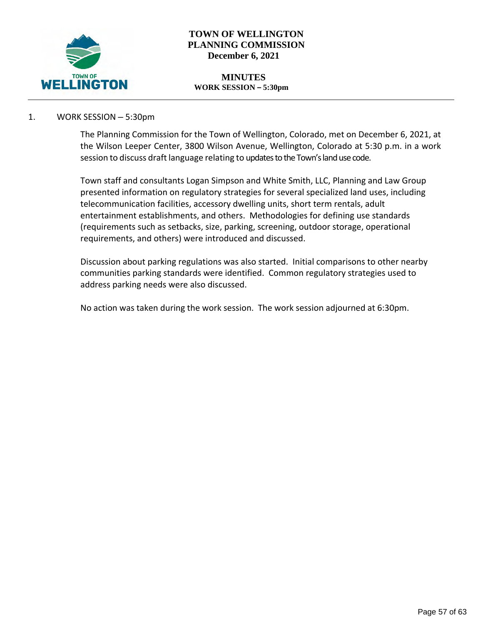

# **TOWN OF WELLINGTON PLANNING COMMISSION December 6, 2021**

#### **MINUTES WORK SESSION – 5:30pm**

## 1. WORK SESSION – 5:30pm

The Planning Commission for the Town of Wellington, Colorado, met on December 6, 2021, at the Wilson Leeper Center, 3800 Wilson Avenue, Wellington, Colorado at 5:30 p.m. in a work session to discuss draft language relating to updates to the Town's land use code.

Town staff and consultants Logan Simpson and White Smith, LLC, Planning and Law Group presented information on regulatory strategies for several specialized land uses, including telecommunication facilities, accessory dwelling units, short term rentals, adult entertainment establishments, and others. Methodologies for defining use standards (requirements such as setbacks, size, parking, screening, outdoor storage, operational requirements, and others) were introduced and discussed.

Discussion about parking regulations was also started. Initial comparisons to other nearby communities parking standards were identified. Common regulatory strategies used to address parking needs were also discussed.

No action was taken during the work session. The work session adjourned at 6:30pm.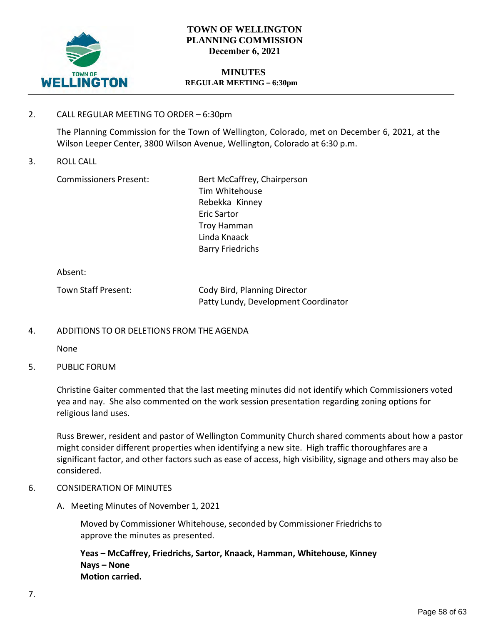

# **TOWN OF WELLINGTON PLANNING COMMISSION December 6, 2021**

### **MINUTES REGULAR MEETING – 6:30pm**

# 2. CALL REGULAR MEETING TO ORDER – 6:30pm

The Planning Commission for the Town of Wellington, Colorado, met on December 6, 2021, at the Wilson Leeper Center, 3800 Wilson Avenue, Wellington, Colorado at 6:30 p.m.

3. ROLL CALL

Commissioners Present: Bert McCaffrey, Chairperson Tim Whitehouse Rebekka Kinney Eric Sartor Troy Hamman Linda Knaack Barry Friedrichs

Absent:

| Town Staff Present: | Cody Bird, Planning Director         |
|---------------------|--------------------------------------|
|                     | Patty Lundy, Development Coordinator |

## 4. ADDITIONS TO OR DELETIONS FROM THE AGENDA

None

5. PUBLIC FORUM

Christine Gaiter commented that the last meeting minutes did not identify which Commissioners voted yea and nay. She also commented on the work session presentation regarding zoning options for religious land uses.

Russ Brewer, resident and pastor of Wellington Community Church shared comments about how a pastor might consider different properties when identifying a new site. High traffic thoroughfares are a significant factor, and other factors such as ease of access, high visibility, signage and others may also be considered.

## 6. CONSIDERATION OF MINUTES

A. Meeting Minutes of November 1, 2021

Moved by Commissioner Whitehouse, seconded by Commissioner Friedrichs to approve the minutes as presented.

**Yeas – McCaffrey, Friedrichs, Sartor, Knaack, Hamman, Whitehouse, Kinney Nays – None Motion carried.**